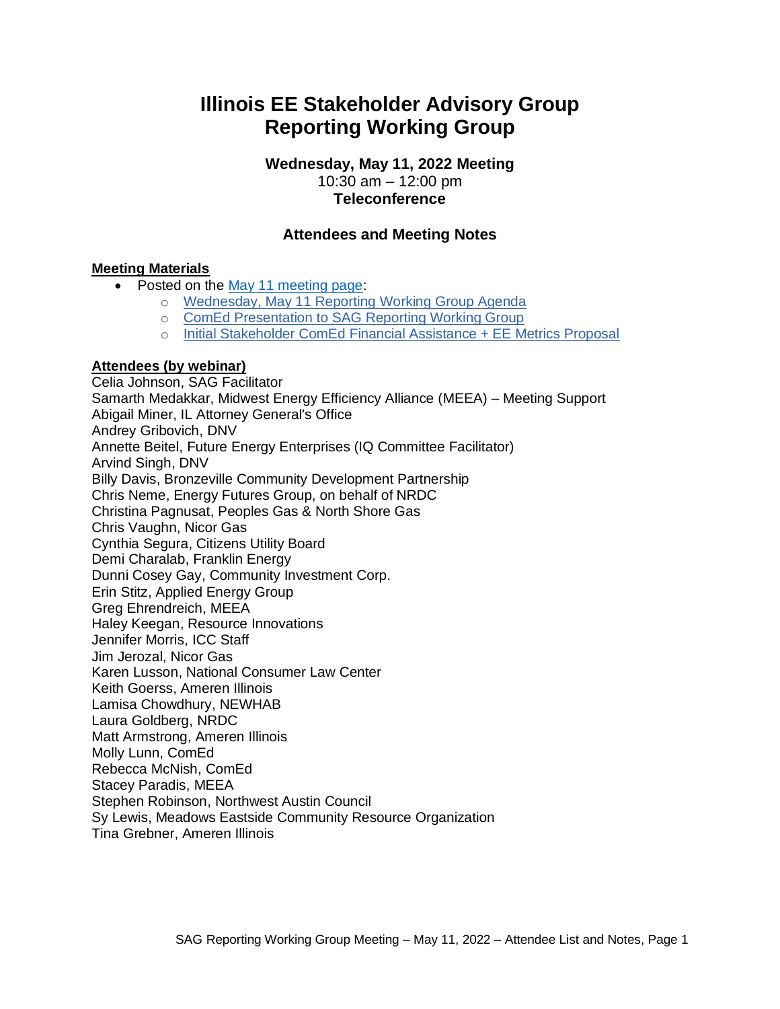# **Illinois EE Stakeholder Advisory Group Reporting Working Group**

**Wednesday, May 11, 2022 Meeting** 10:30 am – 12:00 pm **Teleconference**

### **Attendees and Meeting Notes**

### **Meeting Materials**

- Posted on the [May 11 meeting page:](https://www.ilsag.info/event/wednesday-may-11-reporting-working-group-meeting/)
	- o [Wednesday, May 11 Reporting Working Group Agenda](https://ilsag.s3.amazonaws.com/SAG_Reporting-Working-Group-Meeting_Agenda_May-11-2022_Final.pdf)
	- o [ComEd Presentation to SAG Reporting Working Group](https://ilsag.s3.amazonaws.com/May-2022-SAG-Reporting-Working-Group_ComEd.pdf)
	- o [Initial Stakeholder ComEd Financial Assistance + EE Metrics Proposal](https://ilsag.s3.amazonaws.com/Initial-Stakeholder-Assistance-EE-Metrics-Proposal-for-5.11.22-reporting-WG_.pdf)

### **Attendees (by webinar)**

Celia Johnson, SAG Facilitator Samarth Medakkar, Midwest Energy Efficiency Alliance (MEEA) – Meeting Support Abigail Miner, IL Attorney General's Office Andrey Gribovich, DNV Annette Beitel, Future Energy Enterprises (IQ Committee Facilitator) Arvind Singh, DNV Billy Davis, Bronzeville Community Development Partnership Chris Neme, Energy Futures Group, on behalf of NRDC Christina Pagnusat, Peoples Gas & North Shore Gas Chris Vaughn, Nicor Gas Cynthia Segura, Citizens Utility Board Demi Charalab, Franklin Energy Dunni Cosey Gay, Community Investment Corp. Erin Stitz, Applied Energy Group Greg Ehrendreich, MEEA Haley Keegan, Resource Innovations Jennifer Morris, ICC Staff Jim Jerozal, Nicor Gas Karen Lusson, National Consumer Law Center Keith Goerss, Ameren Illinois Lamisa Chowdhury, NEWHAB Laura Goldberg, NRDC Matt Armstrong, Ameren Illinois Molly Lunn, ComEd Rebecca McNish, ComEd Stacey Paradis, MEEA Stephen Robinson, Northwest Austin Council Sy Lewis, Meadows Eastside Community Resource Organization Tina Grebner, Ameren Illinois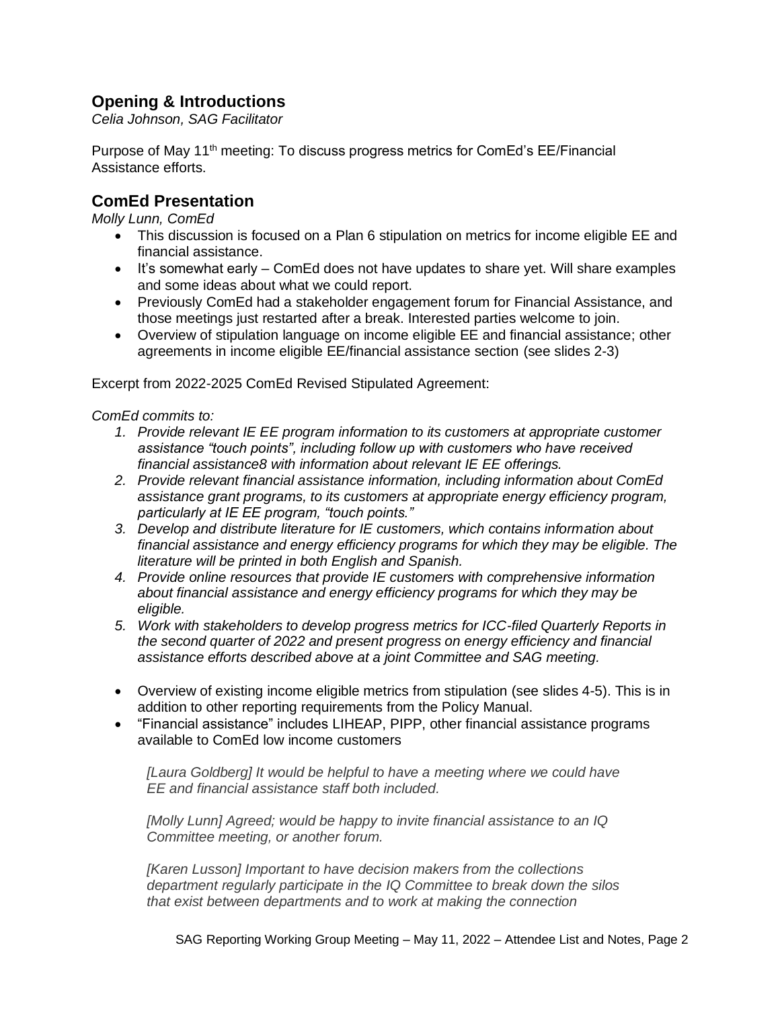## **Opening & Introductions**

*Celia Johnson, SAG Facilitator*

Purpose of May 11<sup>th</sup> meeting: To discuss progress metrics for ComEd's EE/Financial Assistance efforts.

# **ComEd Presentation**

*Molly Lunn, ComEd*

- This discussion is focused on a Plan 6 stipulation on metrics for income eligible EE and financial assistance.
- It's somewhat early ComEd does not have updates to share yet. Will share examples and some ideas about what we could report.
- Previously ComEd had a stakeholder engagement forum for Financial Assistance, and those meetings just restarted after a break. Interested parties welcome to join.
- Overview of stipulation language on income eligible EE and financial assistance; other agreements in income eligible EE/financial assistance section (see slides 2-3)

Excerpt from 2022-2025 ComEd Revised Stipulated Agreement:

*ComEd commits to:*

- *1. Provide relevant IE EE program information to its customers at appropriate customer assistance "touch points", including follow up with customers who have received financial assistance8 with information about relevant IE EE offerings.*
- *2. Provide relevant financial assistance information, including information about ComEd assistance grant programs, to its customers at appropriate energy efficiency program, particularly at IE EE program, "touch points."*
- *3. Develop and distribute literature for IE customers, which contains information about financial assistance and energy efficiency programs for which they may be eligible. The literature will be printed in both English and Spanish.*
- *4. Provide online resources that provide IE customers with comprehensive information about financial assistance and energy efficiency programs for which they may be eligible.*
- *5. Work with stakeholders to develop progress metrics for ICC-filed Quarterly Reports in the second quarter of 2022 and present progress on energy efficiency and financial assistance efforts described above at a joint Committee and SAG meeting.*
- Overview of existing income eligible metrics from stipulation (see slides 4-5). This is in addition to other reporting requirements from the Policy Manual.
- "Financial assistance" includes LIHEAP, PIPP, other financial assistance programs available to ComEd low income customers

*[Laura Goldberg] It would be helpful to have a meeting where we could have EE and financial assistance staff both included.* 

*[Molly Lunn] Agreed; would be happy to invite financial assistance to an IQ Committee meeting, or another forum.*

*[Karen Lusson] Important to have decision makers from the collections department regularly participate in the IQ Committee to break down the silos that exist between departments and to work at making the connection*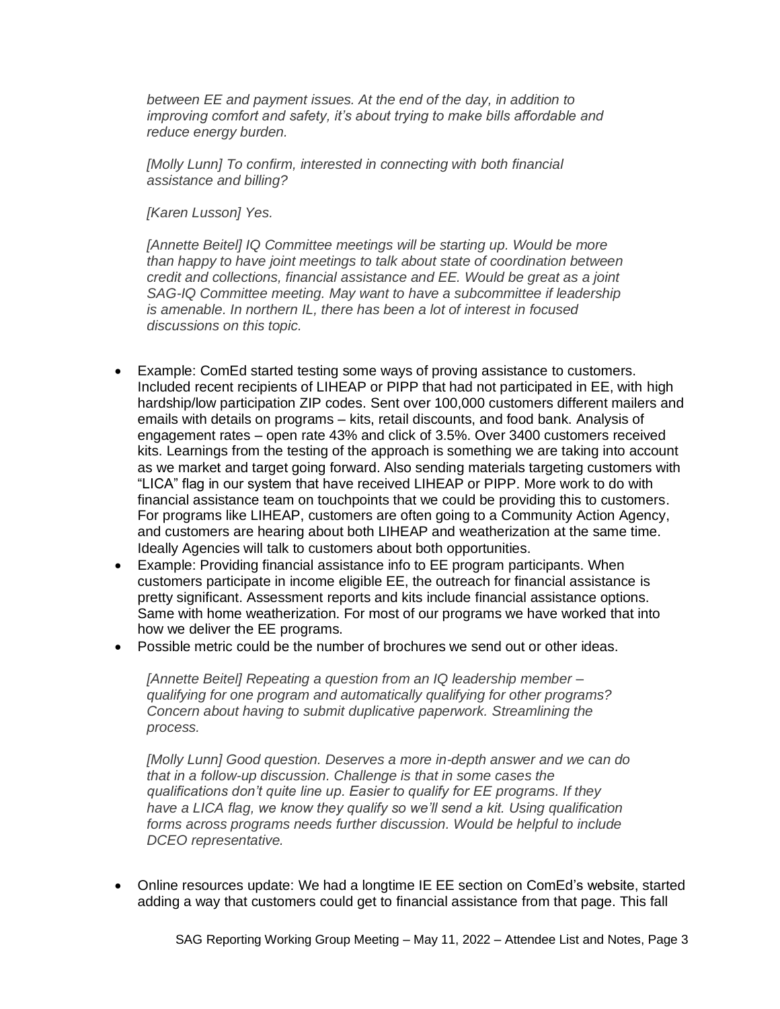*between EE and payment issues. At the end of the day, in addition to improving comfort and safety, it's about trying to make bills affordable and reduce energy burden.* 

*[Molly Lunn] To confirm, interested in connecting with both financial assistance and billing?*

*[Karen Lusson] Yes.* 

*[Annette Beitel] IQ Committee meetings will be starting up. Would be more than happy to have joint meetings to talk about state of coordination between credit and collections, financial assistance and EE. Would be great as a joint SAG-IQ Committee meeting. May want to have a subcommittee if leadership is amenable. In northern IL, there has been a lot of interest in focused discussions on this topic.*

- Example: ComEd started testing some ways of proving assistance to customers. Included recent recipients of LIHEAP or PIPP that had not participated in EE, with high hardship/low participation ZIP codes. Sent over 100,000 customers different mailers and emails with details on programs – kits, retail discounts, and food bank. Analysis of engagement rates – open rate 43% and click of 3.5%. Over 3400 customers received kits. Learnings from the testing of the approach is something we are taking into account as we market and target going forward. Also sending materials targeting customers with "LICA" flag in our system that have received LIHEAP or PIPP. More work to do with financial assistance team on touchpoints that we could be providing this to customers. For programs like LIHEAP, customers are often going to a Community Action Agency, and customers are hearing about both LIHEAP and weatherization at the same time. Ideally Agencies will talk to customers about both opportunities.
- Example: Providing financial assistance info to EE program participants. When customers participate in income eligible EE, the outreach for financial assistance is pretty significant. Assessment reports and kits include financial assistance options. Same with home weatherization. For most of our programs we have worked that into how we deliver the EE programs.
- Possible metric could be the number of brochures we send out or other ideas.

*[Annette Beitel] Repeating a question from an IQ leadership member – qualifying for one program and automatically qualifying for other programs? Concern about having to submit duplicative paperwork. Streamlining the process.* 

*[Molly Lunn] Good question. Deserves a more in-depth answer and we can do that in a follow-up discussion. Challenge is that in some cases the qualifications don't quite line up. Easier to qualify for EE programs. If they have a LICA flag, we know they qualify so we'll send a kit. Using qualification forms across programs needs further discussion. Would be helpful to include DCEO representative.* 

• Online resources update: We had a longtime IE EE section on ComEd's website, started adding a way that customers could get to financial assistance from that page. This fall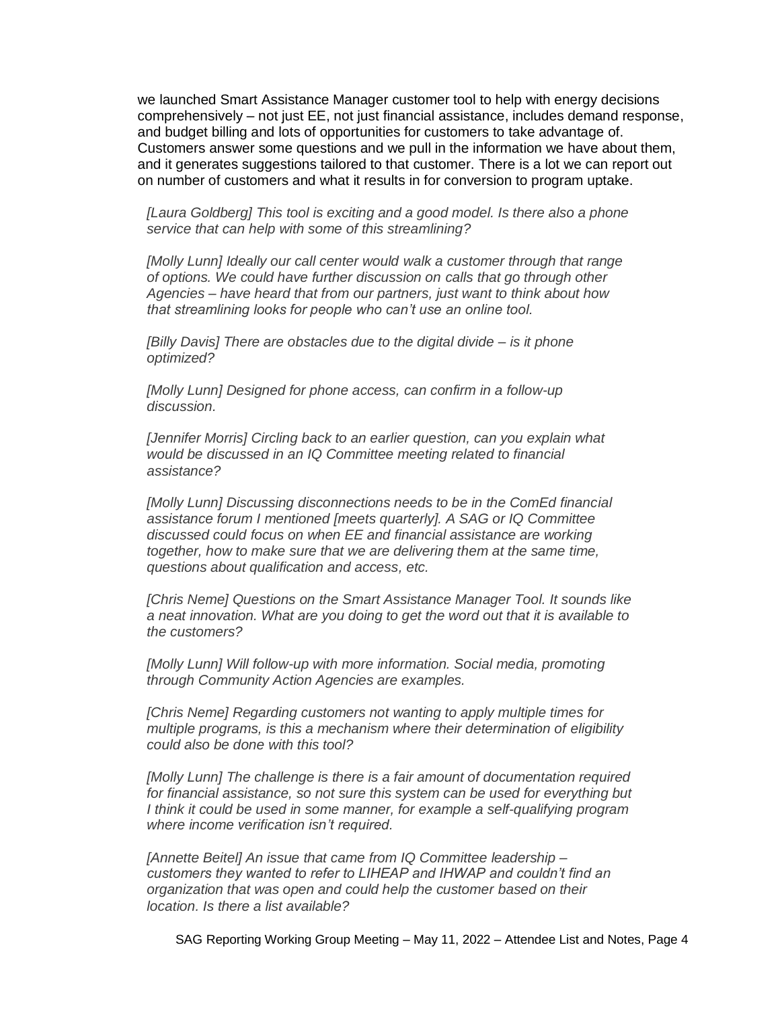we launched Smart Assistance Manager customer tool to help with energy decisions comprehensively – not just EE, not just financial assistance, includes demand response, and budget billing and lots of opportunities for customers to take advantage of. Customers answer some questions and we pull in the information we have about them, and it generates suggestions tailored to that customer. There is a lot we can report out on number of customers and what it results in for conversion to program uptake.

*[Laura Goldberg] This tool is exciting and a good model. Is there also a phone service that can help with some of this streamlining?*

*[Molly Lunn] Ideally our call center would walk a customer through that range of options. We could have further discussion on calls that go through other Agencies – have heard that from our partners, just want to think about how that streamlining looks for people who can't use an online tool.* 

*[Billy Davis] There are obstacles due to the digital divide – is it phone optimized?* 

*[Molly Lunn] Designed for phone access, can confirm in a follow-up discussion.*

*[Jennifer Morris] Circling back to an earlier question, can you explain what would be discussed in an IQ Committee meeting related to financial assistance?*

*[Molly Lunn] Discussing disconnections needs to be in the ComEd financial assistance forum I mentioned [meets quarterly]. A SAG or IQ Committee discussed could focus on when EE and financial assistance are working together, how to make sure that we are delivering them at the same time, questions about qualification and access, etc.*

*[Chris Neme] Questions on the Smart Assistance Manager Tool. It sounds like a neat innovation. What are you doing to get the word out that it is available to the customers?* 

[Molly Lunn] Will follow-up with more information. Social media, promoting *through Community Action Agencies are examples.*

*[Chris Neme] Regarding customers not wanting to apply multiple times for multiple programs, is this a mechanism where their determination of eligibility could also be done with this tool?* 

*[Molly Lunn] The challenge is there is a fair amount of documentation required for financial assistance, so not sure this system can be used for everything but I think it could be used in some manner, for example a self-qualifying program where income verification isn't required.*

*[Annette Beitel] An issue that came from IQ Committee leadership – customers they wanted to refer to LIHEAP and IHWAP and couldn't find an organization that was open and could help the customer based on their location. Is there a list available?*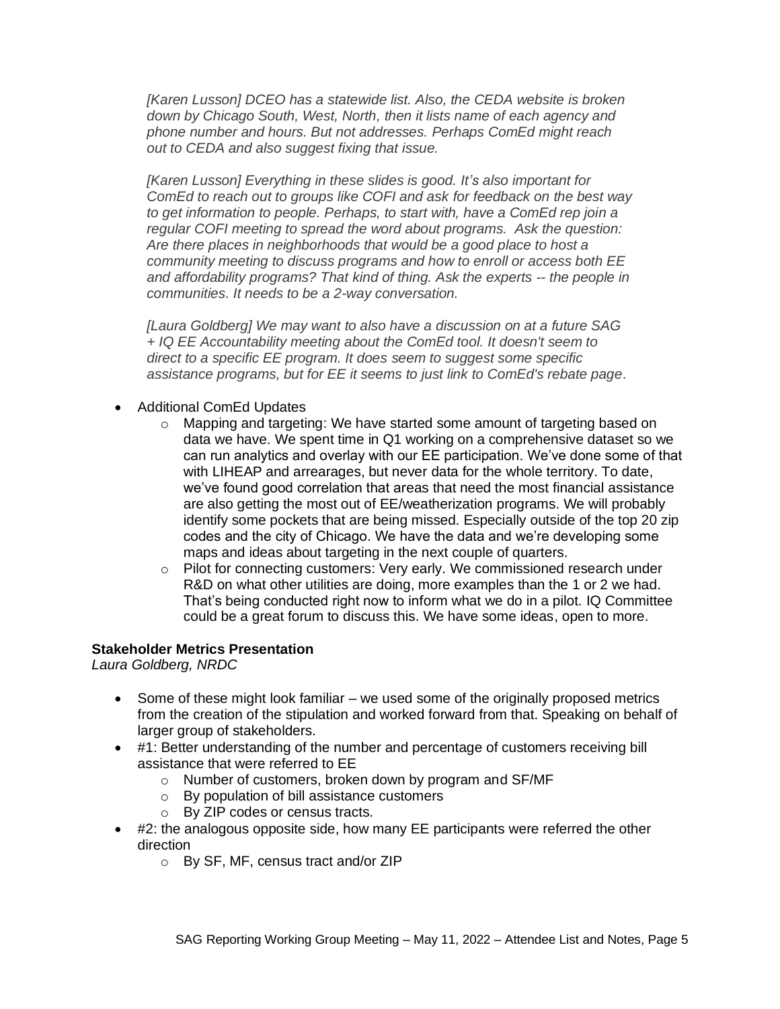*[Karen Lusson] DCEO has a statewide list. Also, the CEDA website is broken down by Chicago South, West, North, then it lists name of each agency and phone number and hours. But not addresses. Perhaps ComEd might reach out to CEDA and also suggest fixing that issue.*

*[Karen Lusson] Everything in these slides is good. It's also important for ComEd to reach out to groups like COFI and ask for feedback on the best way to get information to people. Perhaps, to start with, have a ComEd rep join a regular COFI meeting to spread the word about programs. Ask the question: Are there places in neighborhoods that would be a good place to host a community meeting to discuss programs and how to enroll or access both EE and affordability programs? That kind of thing. Ask the experts -- the people in communities. It needs to be a 2-way conversation.*

*[Laura Goldberg] We may want to also have a discussion on at a future SAG + IQ EE Accountability meeting about the ComEd tool. It doesn't seem to direct to a specific EE program. It does seem to suggest some specific assistance programs, but for EE it seems to just link to ComEd's rebate page.*

- Additional ComEd Updates
	- $\circ$  Mapping and targeting: We have started some amount of targeting based on data we have. We spent time in Q1 working on a comprehensive dataset so we can run analytics and overlay with our EE participation. We've done some of that with LIHEAP and arrearages, but never data for the whole territory. To date, we've found good correlation that areas that need the most financial assistance are also getting the most out of EE/weatherization programs. We will probably identify some pockets that are being missed. Especially outside of the top 20 zip codes and the city of Chicago. We have the data and we're developing some maps and ideas about targeting in the next couple of quarters.
	- o Pilot for connecting customers: Very early. We commissioned research under R&D on what other utilities are doing, more examples than the 1 or 2 we had. That's being conducted right now to inform what we do in a pilot. IQ Committee could be a great forum to discuss this. We have some ideas, open to more.

### **Stakeholder Metrics Presentation**

*Laura Goldberg, NRDC*

- Some of these might look familiar we used some of the originally proposed metrics from the creation of the stipulation and worked forward from that. Speaking on behalf of larger group of stakeholders.
- #1: Better understanding of the number and percentage of customers receiving bill assistance that were referred to EE
	- o Number of customers, broken down by program and SF/MF
	- o By population of bill assistance customers
	- o By ZIP codes or census tracts.
- $\bullet$  #2: the analogous opposite side, how many EE participants were referred the other direction
	- o By SF, MF, census tract and/or ZIP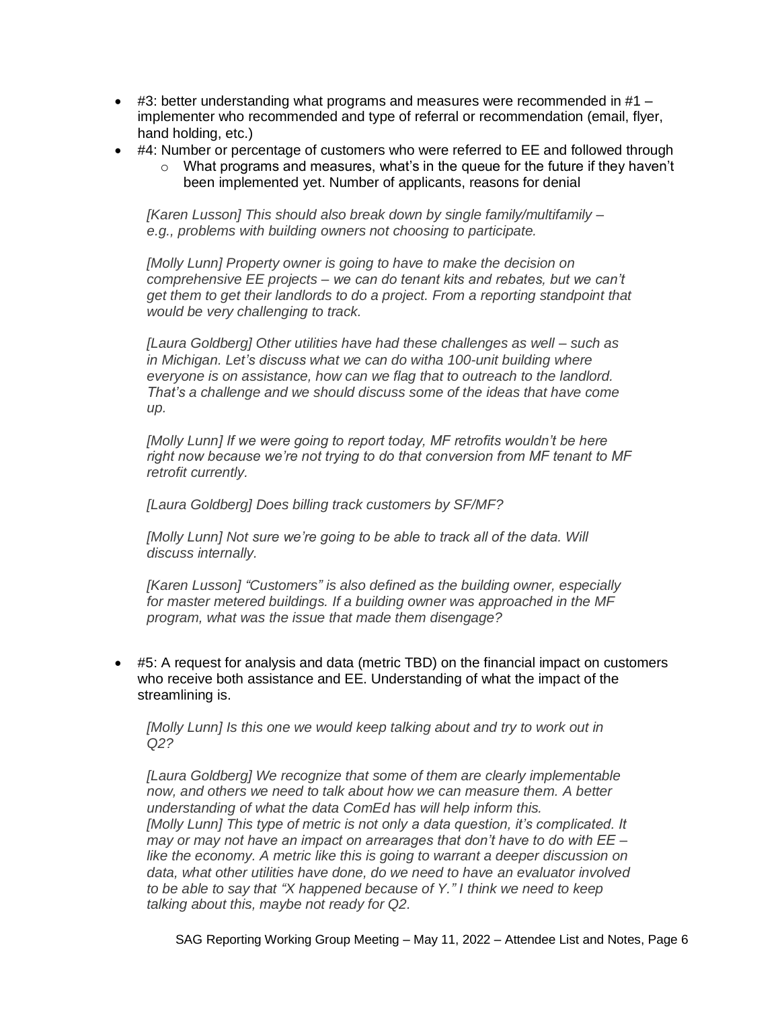- $\bullet$  #3: better understanding what programs and measures were recommended in #1 implementer who recommended and type of referral or recommendation (email, flyer, hand holding, etc.)
- #4: Number or percentage of customers who were referred to EE and followed through
	- $\circ$  What programs and measures, what's in the queue for the future if they haven't been implemented yet. Number of applicants, reasons for denial

*[Karen Lusson] This should also break down by single family/multifamily – e.g., problems with building owners not choosing to participate.* 

*[Molly Lunn] Property owner is going to have to make the decision on comprehensive EE projects – we can do tenant kits and rebates, but we can't get them to get their landlords to do a project. From a reporting standpoint that would be very challenging to track.*

*[Laura Goldberg] Other utilities have had these challenges as well – such as in Michigan. Let's discuss what we can do witha 100-unit building where everyone is on assistance, how can we flag that to outreach to the landlord. That's a challenge and we should discuss some of the ideas that have come up.*

*[Molly Lunn] If we were going to report today, MF retrofits wouldn't be here right now because we're not trying to do that conversion from MF tenant to MF retrofit currently.*

*[Laura Goldberg] Does billing track customers by SF/MF?*

*[Molly Lunn]* Not sure we're going to be able to track all of the data. Will *discuss internally.*

*[Karen Lusson] "Customers" is also defined as the building owner, especially for master metered buildings. If a building owner was approached in the MF program, what was the issue that made them disengage?*

• #5: A request for analysis and data (metric TBD) on the financial impact on customers who receive both assistance and EE. Understanding of what the impact of the streamlining is.

*[Molly Lunn] Is this one we would keep talking about and try to work out in Q2?*

*[Laura Goldberg] We recognize that some of them are clearly implementable now, and others we need to talk about how we can measure them. A better understanding of what the data ComEd has will help inform this. [Molly Lunn] This type of metric is not only a data question, it's complicated. It may or may not have an impact on arrearages that don't have to do with EE – like the economy. A metric like this is going to warrant a deeper discussion on data, what other utilities have done, do we need to have an evaluator involved to be able to say that "X happened because of Y." I think we need to keep talking about this, maybe not ready for Q2.*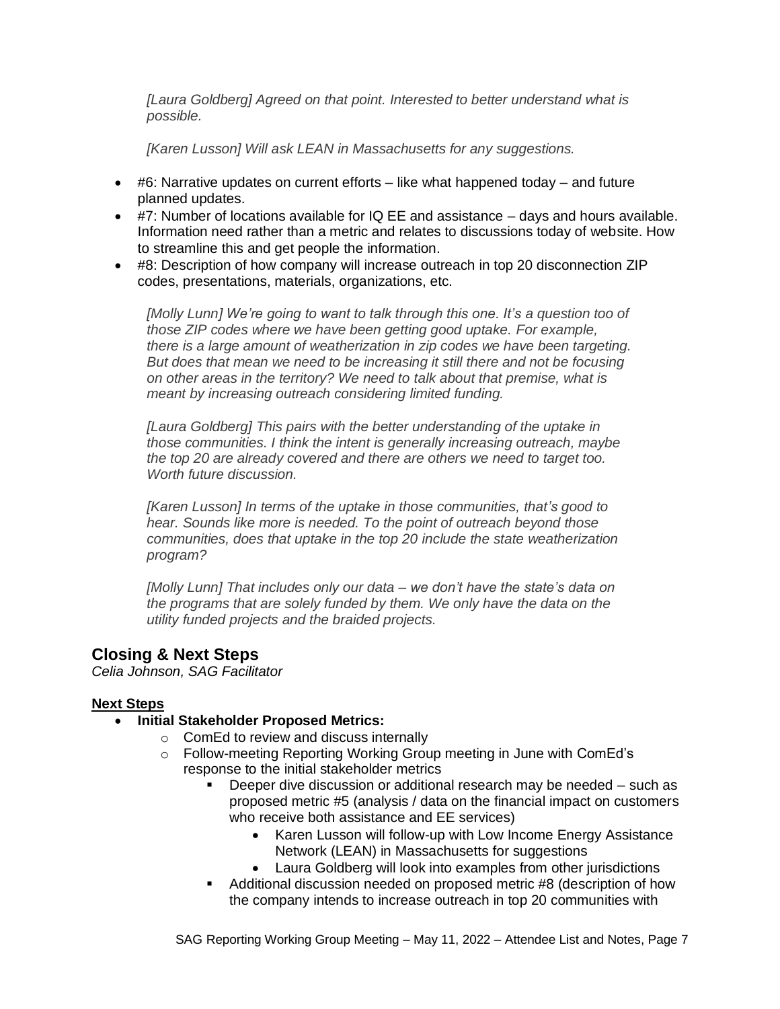*[Laura Goldberg] Agreed on that point. Interested to better understand what is possible.*

*[Karen Lusson] Will ask LEAN in Massachusetts for any suggestions.*

- $\bullet$  #6: Narrative updates on current efforts like what happened today and future planned updates.
- $\bullet$  #7: Number of locations available for IQ EE and assistance  $-$  days and hours available. Information need rather than a metric and relates to discussions today of website. How to streamline this and get people the information.
- #8: Description of how company will increase outreach in top 20 disconnection ZIP codes, presentations, materials, organizations, etc.

*[Molly Lunn] We're going to want to talk through this one. It's a question too of those ZIP codes where we have been getting good uptake. For example, there is a large amount of weatherization in zip codes we have been targeting. But does that mean we need to be increasing it still there and not be focusing on other areas in the territory? We need to talk about that premise, what is meant by increasing outreach considering limited funding.*

*[Laura Goldberg] This pairs with the better understanding of the uptake in those communities. I think the intent is generally increasing outreach, maybe the top 20 are already covered and there are others we need to target too. Worth future discussion.*

*[Karen Lusson] In terms of the uptake in those communities, that's good to hear. Sounds like more is needed. To the point of outreach beyond those communities, does that uptake in the top 20 include the state weatherization program?*

*[Molly Lunn] That includes only our data – we don't have the state's data on the programs that are solely funded by them. We only have the data on the utility funded projects and the braided projects.* 

### **Closing & Next Steps**

*Celia Johnson, SAG Facilitator*

### **Next Steps**

- **Initial Stakeholder Proposed Metrics:**
	- o ComEd to review and discuss internally
	- o Follow-meeting Reporting Working Group meeting in June with ComEd's response to the initial stakeholder metrics
		- Deeper dive discussion or additional research may be needed  $-$  such as proposed metric #5 (analysis / data on the financial impact on customers who receive both assistance and EE services)
			- Karen Lusson will follow-up with Low Income Energy Assistance Network (LEAN) in Massachusetts for suggestions
			- Laura Goldberg will look into examples from other jurisdictions
		- Additional discussion needed on proposed metric #8 (description of how the company intends to increase outreach in top 20 communities with